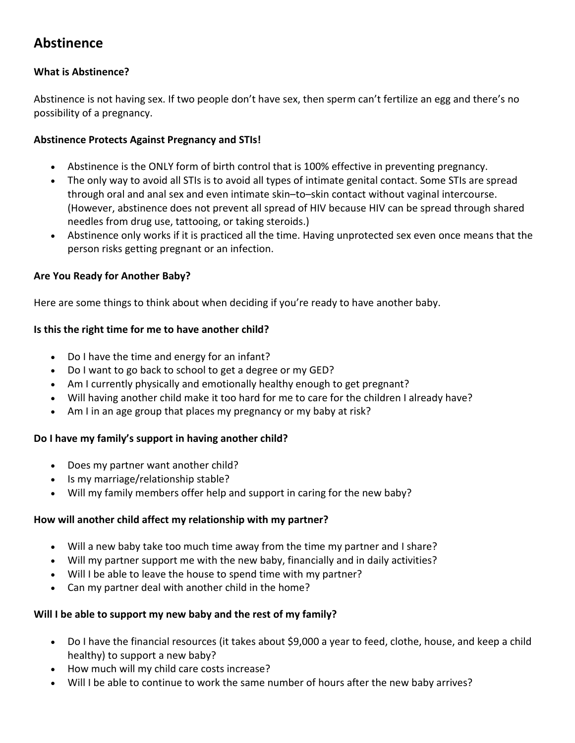# **Abstinence**

# **What is Abstinence?**

Abstinence is not having sex. If two people don't have sex, then sperm can't fertilize an egg and there's no possibility of a pregnancy.

# **Abstinence Protects Against Pregnancy and STIs!**

- Abstinence is the ONLY form of birth control that is 100% effective in preventing pregnancy.
- The only way to avoid all STIs is to avoid all types of intimate genital contact. Some STIs are spread through oral and anal sex and even intimate skin–to–skin contact without vaginal intercourse. (However, abstinence does not prevent all spread of HIV because HIV can be spread through shared needles from drug use, tattooing, or taking steroids.)
- Abstinence only works if it is practiced all the time. Having unprotected sex even once means that the person risks getting pregnant or an infection.

#### **Are You Ready for Another Baby?**

Here are some things to think about when deciding if you're ready to have another baby.

#### **Is this the right time for me to have another child?**

- Do I have the time and energy for an infant?
- Do I want to go back to school to get a degree or my GED?
- Am I currently physically and emotionally healthy enough to get pregnant?
- Will having another child make it too hard for me to care for the children I already have?
- Am I in an age group that places my pregnancy or my baby at risk?

# **Do I have my family's support in having another child?**

- Does my partner want another child?
- Is my marriage/relationship stable?
- Will my family members offer help and support in caring for the new baby?

#### **How will another child affect my relationship with my partner?**

- Will a new baby take too much time away from the time my partner and I share?
- Will my partner support me with the new baby, financially and in daily activities?
- Will I be able to leave the house to spend time with my partner?
- Can my partner deal with another child in the home?

# **Will I be able to support my new baby and the rest of my family?**

- Do I have the financial resources (it takes about \$9,000 a year to feed, clothe, house, and keep a child healthy) to support a new baby?
- How much will my child care costs increase?
- Will I be able to continue to work the same number of hours after the new baby arrives?